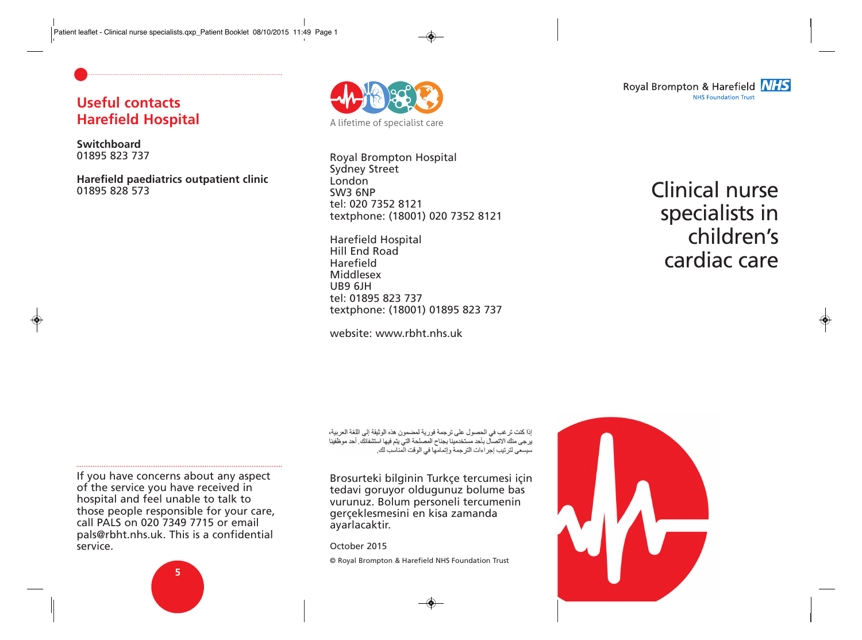# **Useful contacts Harefield Hospital**

#### **Switchboard** 01895 823 737

**Harefield paediatrics outpatient clinic** 01895 828 573



Royal Brompton Hospital Sydney Street London SW3 6NP tel: 020 7352 8121 textphone: (18001) 020 7352 8121

Harefield Hospital Hill End Road Harefield Middlesex UB9 6JH tel: 01895 823 737 textphone: (18001) 01895 823 737

website: www.rbht.nhs.uk

Clinical nurse specialists in children's cardiac care

إذا كنت تر غب في الحصول على تر جمة فور ية لمضمون هذه الوثيقة إلى اللغة العربية، ير جي منك الاتصال بأحد مستخدمينا بجناح المصلحة التي يتم فيها استشفائك. أحد موظفينا سيسعى لتر تيب إجر اءات الترجمة و إتمامها في الوقت المناسب لك.

Brosurteki bilginin Turkçe tercumesi için tedavi goruyor oldugunuz bolume bas vurunuz. Bolum personeli tercumenin gerçeklesmesini en kisa zamanda ayarlacaktir.

October 2015

© Royal Brompton & Harefield NHS Foundation Trust

If you have concerns about any aspect of the service you have received in hospital and feel unable to talk to those people responsible for your care, call PALS on 020 7349 7715 or email pals@rbht.nhs.uk. This is a confidential service.